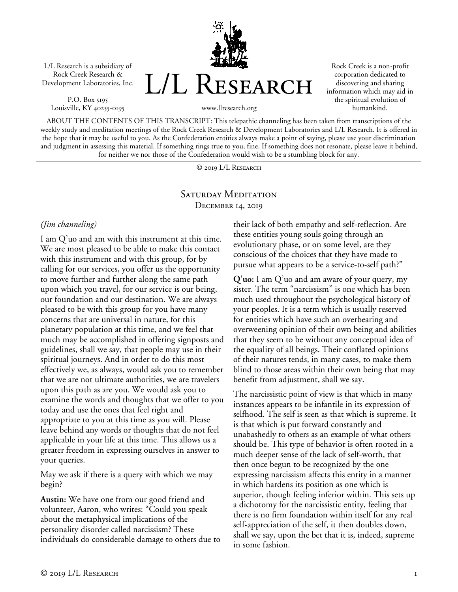L/L Research is a subsidiary of Rock Creek Research & Development Laboratories, Inc.

P.O. Box 5195 Louisville, KY 40255-0195 L/L RESEARCH

Rock Creek is a non-profit corporation dedicated to discovering and sharing information which may aid in the spiritual evolution of humankind.

www.llresearch.org

ABOUT THE CONTENTS OF THIS TRANSCRIPT: This telepathic channeling has been taken from transcriptions of the weekly study and meditation meetings of the Rock Creek Research & Development Laboratories and L/L Research. It is offered in the hope that it may be useful to you. As the Confederation entities always make a point of saying, please use your discrimination and judgment in assessing this material. If something rings true to you, fine. If something does not resonate, please leave it behind, for neither we nor those of the Confederation would wish to be a stumbling block for any.

© 2019 L/L Research

## SATURDAY MEDITATION December 14, 2019

## *(Jim channeling)*

I am Q'uo and am with this instrument at this time. We are most pleased to be able to make this contact with this instrument and with this group, for by calling for our services, you offer us the opportunity to move further and further along the same path upon which you travel, for our service is our being, our foundation and our destination. We are always pleased to be with this group for you have many concerns that are universal in nature, for this planetary population at this time, and we feel that much may be accomplished in offering signposts and guidelines, shall we say, that people may use in their spiritual journeys. And in order to do this most effectively we, as always, would ask you to remember that we are not ultimate authorities, we are travelers upon this path as are you. We would ask you to examine the words and thoughts that we offer to you today and use the ones that feel right and appropriate to you at this time as you will. Please leave behind any words or thoughts that do not feel applicable in your life at this time. This allows us a greater freedom in expressing ourselves in answer to your queries.

May we ask if there is a query with which we may begin?

**Austin:** We have one from our good friend and volunteer, Aaron, who writes: "Could you speak about the metaphysical implications of the personality disorder called narcissism? These individuals do considerable damage to others due to their lack of both empathy and self-reflection. Are these entities young souls going through an evolutionary phase, or on some level, are they conscious of the choices that they have made to pursue what appears to be a service-to-self path?"

**Q'uo:** I am Q'uo and am aware of your query, my sister. The term "narcissism" is one which has been much used throughout the psychological history of your peoples. It is a term which is usually reserved for entities which have such an overbearing and overweening opinion of their own being and abilities that they seem to be without any conceptual idea of the equality of all beings. Their conflated opinions of their natures tends, in many cases, to make them blind to those areas within their own being that may benefit from adjustment, shall we say.

The narcissistic point of view is that which in many instances appears to be infantile in its expression of selfhood. The self is seen as that which is supreme. It is that which is put forward constantly and unabashedly to others as an example of what others should be. This type of behavior is often rooted in a much deeper sense of the lack of self-worth, that then once begun to be recognized by the one expressing narcissism affects this entity in a manner in which hardens its position as one which is superior, though feeling inferior within. This sets up a dichotomy for the narcissistic entity, feeling that there is no firm foundation within itself for any real self-appreciation of the self, it then doubles down, shall we say, upon the bet that it is, indeed, supreme in some fashion.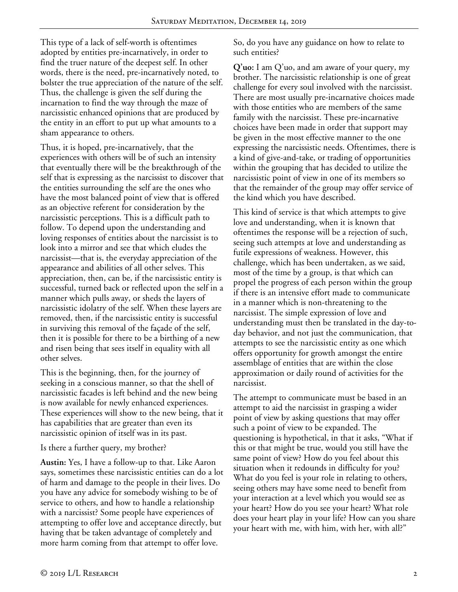This type of a lack of self-worth is oftentimes adopted by entities pre-incarnatively, in order to find the truer nature of the deepest self. In other words, there is the need, pre-incarnatively noted, to bolster the true appreciation of the nature of the self. Thus, the challenge is given the self during the incarnation to find the way through the maze of narcissistic enhanced opinions that are produced by the entity in an effort to put up what amounts to a sham appearance to others.

Thus, it is hoped, pre-incarnatively, that the experiences with others will be of such an intensity that eventually there will be the breakthrough of the self that is expressing as the narcissist to discover that the entities surrounding the self are the ones who have the most balanced point of view that is offered as an objective referent for consideration by the narcissistic perceptions. This is a difficult path to follow. To depend upon the understanding and loving responses of entities about the narcissist is to look into a mirror and see that which eludes the narcissist—that is, the everyday appreciation of the appearance and abilities of all other selves. This appreciation, then, can be, if the narcissistic entity is successful, turned back or reflected upon the self in a manner which pulls away, or sheds the layers of narcissistic idolatry of the self. When these layers are removed, then, if the narcissistic entity is successful in surviving this removal of the façade of the self, then it is possible for there to be a birthing of a new and risen being that sees itself in equality with all other selves.

This is the beginning, then, for the journey of seeking in a conscious manner, so that the shell of narcissistic facades is left behind and the new being is now available for newly enhanced experiences. These experiences will show to the new being, that it has capabilities that are greater than even its narcissistic opinion of itself was in its past.

Is there a further query, my brother?

**Austin:** Yes, I have a follow-up to that. Like Aaron says, sometimes these narcissistic entities can do a lot of harm and damage to the people in their lives. Do you have any advice for somebody wishing to be of service to others, and how to handle a relationship with a narcissist? Some people have experiences of attempting to offer love and acceptance directly, but having that be taken advantage of completely and more harm coming from that attempt to offer love.

So, do you have any guidance on how to relate to such entities?

**Q'uo:** I am Q'uo, and am aware of your query, my brother. The narcissistic relationship is one of great challenge for every soul involved with the narcissist. There are most usually pre-incarnative choices made with those entities who are members of the same family with the narcissist. These pre-incarnative choices have been made in order that support may be given in the most effective manner to the one expressing the narcissistic needs. Oftentimes, there is a kind of give-and-take, or trading of opportunities within the grouping that has decided to utilize the narcissistic point of view in one of its members so that the remainder of the group may offer service of the kind which you have described.

This kind of service is that which attempts to give love and understanding, when it is known that oftentimes the response will be a rejection of such, seeing such attempts at love and understanding as futile expressions of weakness. However, this challenge, which has been undertaken, as we said, most of the time by a group, is that which can propel the progress of each person within the group if there is an intensive effort made to communicate in a manner which is non-threatening to the narcissist. The simple expression of love and understanding must then be translated in the day-today behavior, and not just the communication, that attempts to see the narcissistic entity as one which offers opportunity for growth amongst the entire assemblage of entities that are within the close approximation or daily round of activities for the narcissist.

The attempt to communicate must be based in an attempt to aid the narcissist in grasping a wider point of view by asking questions that may offer such a point of view to be expanded. The questioning is hypothetical, in that it asks, "What if this or that might be true, would you still have the same point of view? How do you feel about this situation when it redounds in difficulty for you? What do you feel is your role in relating to others, seeing others may have some need to benefit from your interaction at a level which you would see as your heart? How do you see your heart? What role does your heart play in your life? How can you share your heart with me, with him, with her, with all?"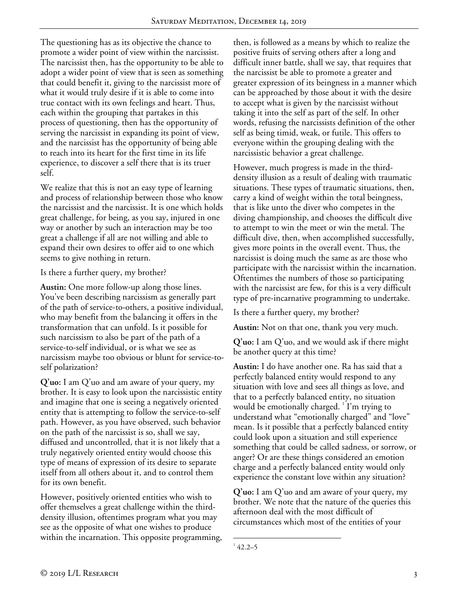The questioning has as its objective the chance to promote a wider point of view within the narcissist. The narcissist then, has the opportunity to be able to adopt a wider point of view that is seen as something that could benefit it, giving to the narcissist more of what it would truly desire if it is able to come into true contact with its own feelings and heart. Thus, each within the grouping that partakes in this process of questioning, then has the opportunity of serving the narcissist in expanding its point of view, and the narcissist has the opportunity of being able to reach into its heart for the first time in its life experience, to discover a self there that is its truer self.

We realize that this is not an easy type of learning and process of relationship between those who know the narcissist and the narcissist. It is one which holds great challenge, for being, as you say, injured in one way or another by such an interaction may be too great a challenge if all are not willing and able to expand their own desires to offer aid to one which seems to give nothing in return.

Is there a further query, my brother?

**Austin:** One more follow-up along those lines. You've been describing narcissism as generally part of the path of service-to-others, a positive individual, who may benefit from the balancing it offers in the transformation that can unfold. Is it possible for such narcissism to also be part of the path of a service-to-self individual, or is what we see as narcissism maybe too obvious or blunt for service-toself polarization?

**Q'uo:** I am Q'uo and am aware of your query, my brother. It is easy to look upon the narcissistic entity and imagine that one is seeing a negatively oriented entity that is attempting to follow the service-to-self path. However, as you have observed, such behavior on the path of the narcissist is so, shall we say, diffused and uncontrolled, that it is not likely that a truly negatively oriented entity would choose this type of means of expression of its desire to separate itself from all others about it, and to control them for its own benefit.

However, positively oriented entities who wish to offer themselves a great challenge within the thirddensity illusion, oftentimes program what you may see as the opposite of what one wishes to produce within the incarnation. This opposite programming, then, is followed as a means by which to realize the positive fruits of serving others after a long and difficult inner battle, shall we say, that requires that the narcissist be able to promote a greater and greater expression of its beingness in a manner which can be approached by those about it with the desire to accept what is given by the narcissist without taking it into the self as part of the self. In other words, refusing the narcissists definition of the other self as being timid, weak, or futile. This offers to everyone within the grouping dealing with the narcissistic behavior a great challenge.

However, much progress is made in the thirddensity illusion as a result of dealing with traumatic situations. These types of traumatic situations, then, carry a kind of weight within the total beingness, that is like unto the diver who competes in the diving championship, and chooses the difficult dive to attempt to win the meet or win the metal. The difficult dive, then, when accomplished successfully, gives more points in the overall event. Thus, the narcissist is doing much the same as are those who participate with the narcissist within the incarnation. Oftentimes the numbers of those so participating with the narcissist are few, for this is a very difficult type of pre-incarnative programming to undertake.

Is there a further query, my brother?

**Austin:** Not on that one, thank you very much.

**Q'uo:** I am Q'uo, and we would ask if there might be another query at this time?

**Austin:** I do have another one. Ra has said that a perfectly balanced entity would respond to any situation with love and sees all things as love, and that to a perfectly balanced entity, no situation would be emotionally charged. <sup>1</sup> I'm trying to understand what "emotionally charged" and "love" mean. Is it possible that a perfectly balanced entity could look upon a situation and still experience something that could be called sadness, or sorrow, or anger? Or are these things considered an emotion charge and a perfectly balanced entity would only experience the constant love within any situation?

**Q'uo:** I am Q'uo and am aware of your query, my brother. We note that the nature of the queries this afternoon deal with the most difficult of circumstances which most of the entities of your

 $\frac{1}{1}$  $142.2 - 5$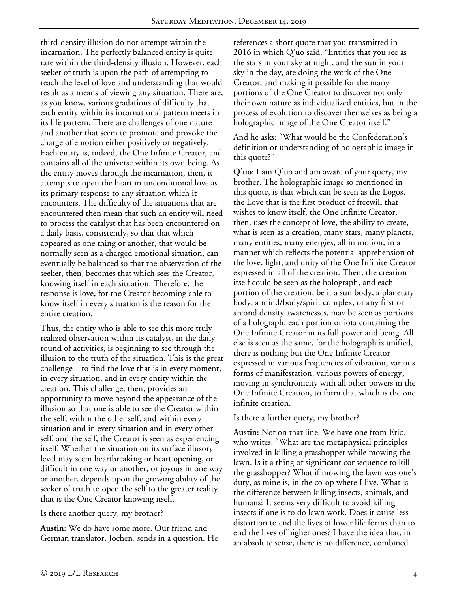third-density illusion do not attempt within the incarnation. The perfectly balanced entity is quite rare within the third-density illusion. However, each seeker of truth is upon the path of attempting to reach the level of love and understanding that would result as a means of viewing any situation. There are, as you know, various gradations of difficulty that each entity within its incarnational pattern meets in its life pattern. There are challenges of one nature and another that seem to promote and provoke the charge of emotion either positively or negatively. Each entity is, indeed, the One Infinite Creator, and contains all of the universe within its own being. As the entity moves through the incarnation, then, it attempts to open the heart in unconditional love as its primary response to any situation which it encounters. The difficulty of the situations that are encountered then mean that such an entity will need to process the catalyst that has been encountered on a daily basis, consistently, so that that which appeared as one thing or another, that would be normally seen as a charged emotional situation, can eventually be balanced so that the observation of the seeker, then, becomes that which sees the Creator, knowing itself in each situation. Therefore, the response is love, for the Creator becoming able to know itself in every situation is the reason for the entire creation.

Thus, the entity who is able to see this more truly realized observation within its catalyst, in the daily round of activities, is beginning to see through the illusion to the truth of the situation. This is the great challenge—to find the love that is in every moment, in every situation, and in every entity within the creation. This challenge, then, provides an opportunity to move beyond the appearance of the illusion so that one is able to see the Creator within the self, within the other self, and within every situation and in every situation and in every other self, and the self, the Creator is seen as experiencing itself. Whether the situation on its surface illusory level may seem heartbreaking or heart opening, or difficult in one way or another, or joyous in one way or another, depends upon the growing ability of the seeker of truth to open the self to the greater reality that is the One Creator knowing itself.

Is there another query, my brother?

**Austin:** We do have some more. Our friend and German translator, Jochen, sends in a question. He references a short quote that you transmitted in 2016 in which Q'uo said, "Entities that you see as the stars in your sky at night, and the sun in your sky in the day, are doing the work of the One Creator, and making it possible for the many portions of the One Creator to discover not only their own nature as individualized entities, but in the process of evolution to discover themselves as being a holographic image of the One Creator itself."

And he asks: "What would be the Confederation's definition or understanding of holographic image in this quote?"

**Q'uo:** I am Q'uo and am aware of your query, my brother. The holographic image so mentioned in this quote, is that which can be seen as the Logos, the Love that is the first product of freewill that wishes to know itself, the One Infinite Creator, then, uses the concept of love, the ability to create, what is seen as a creation, many stars, many planets, many entities, many energies, all in motion, in a manner which reflects the potential apprehension of the love, light, and unity of the One Infinite Creator expressed in all of the creation. Then, the creation itself could be seen as the holograph, and each portion of the creation, be it a sun body, a planetary body, a mind/body/spirit complex, or any first or second density awarenesses, may be seen as portions of a holograph, each portion or iota containing the One Infinite Creator in its full power and being. All else is seen as the same, for the holograph is unified, there is nothing but the One Infinite Creator expressed in various frequencies of vibration, various forms of manifestation, various powers of energy, moving in synchronicity with all other powers in the One Infinite Creation, to form that which is the one infinite creation.

Is there a further query, my brother?

**Austin:** Not on that line. We have one from Eric, who writes: "What are the metaphysical principles involved in killing a grasshopper while mowing the lawn. Is it a thing of significant consequence to kill the grasshopper? What if mowing the lawn was one's duty, as mine is, in the co-op where I live. What is the difference between killing insects, animals, and humans? It seems very difficult to avoid killing insects if one is to do lawn work. Does it cause less distortion to end the lives of lower life forms than to end the lives of higher ones? I have the idea that, in an absolute sense, there is no difference, combined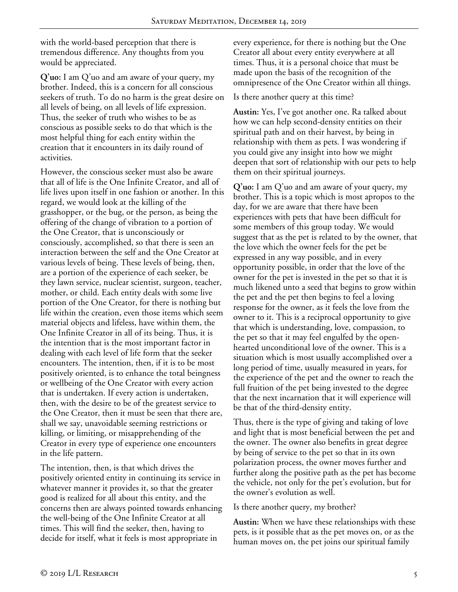with the world-based perception that there is tremendous difference. Any thoughts from you would be appreciated.

**Q'uo:** I am Q'uo and am aware of your query, my brother. Indeed, this is a concern for all conscious seekers of truth. To do no harm is the great desire on all levels of being, on all levels of life expression. Thus, the seeker of truth who wishes to be as conscious as possible seeks to do that which is the most helpful thing for each entity within the creation that it encounters in its daily round of activities.

However, the conscious seeker must also be aware that all of life is the One Infinite Creator, and all of life lives upon itself in one fashion or another. In this regard, we would look at the killing of the grasshopper, or the bug, or the person, as being the offering of the change of vibration to a portion of the One Creator, that is unconsciously or consciously, accomplished, so that there is seen an interaction between the self and the One Creator at various levels of being. These levels of being, then, are a portion of the experience of each seeker, be they lawn service, nuclear scientist, surgeon, teacher, mother, or child. Each entity deals with some live portion of the One Creator, for there is nothing but life within the creation, even those items which seem material objects and lifeless, have within them, the One Infinite Creator in all of its being. Thus, it is the intention that is the most important factor in dealing with each level of life form that the seeker encounters. The intention, then, if it is to be most positively oriented, is to enhance the total beingness or wellbeing of the One Creator with every action that is undertaken. If every action is undertaken, then, with the desire to be of the greatest service to the One Creator, then it must be seen that there are, shall we say, unavoidable seeming restrictions or killing, or limiting, or misapprehending of the Creator in every type of experience one encounters in the life pattern.

The intention, then, is that which drives the positively oriented entity in continuing its service in whatever manner it provides it, so that the greater good is realized for all about this entity, and the concerns then are always pointed towards enhancing the well-being of the One Infinite Creator at all times. This will find the seeker, then, having to decide for itself, what it feels is most appropriate in

every experience, for there is nothing but the One Creator all about every entity everywhere at all times. Thus, it is a personal choice that must be made upon the basis of the recognition of the omnipresence of the One Creator within all things.

## Is there another query at this time?

**Austin:** Yes, I've got another one. Ra talked about how we can help second-density entities on their spiritual path and on their harvest, by being in relationship with them as pets. I was wondering if you could give any insight into how we might deepen that sort of relationship with our pets to help them on their spiritual journeys.

**Q'uo:** I am Q'uo and am aware of your query, my brother. This is a topic which is most apropos to the day, for we are aware that there have been experiences with pets that have been difficult for some members of this group today. We would suggest that as the pet is related to by the owner, that the love which the owner feels for the pet be expressed in any way possible, and in every opportunity possible, in order that the love of the owner for the pet is invested in the pet so that it is much likened unto a seed that begins to grow within the pet and the pet then begins to feel a loving response for the owner, as it feels the love from the owner to it. This is a reciprocal opportunity to give that which is understanding, love, compassion, to the pet so that it may feel engulfed by the openhearted unconditional love of the owner. This is a situation which is most usually accomplished over a long period of time, usually measured in years, for the experience of the pet and the owner to reach the full fruition of the pet being invested to the degree that the next incarnation that it will experience will be that of the third-density entity.

Thus, there is the type of giving and taking of love and light that is most beneficial between the pet and the owner. The owner also benefits in great degree by being of service to the pet so that in its own polarization process, the owner moves further and further along the positive path as the pet has become the vehicle, not only for the pet's evolution, but for the owner's evolution as well.

## Is there another query, my brother?

**Austin:** When we have these relationships with these pets, is it possible that as the pet moves on, or as the human moves on, the pet joins our spiritual family